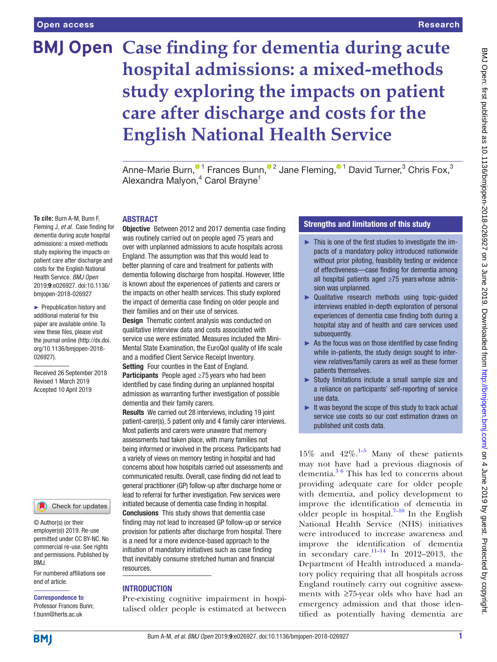# **BMJ Open Case finding for dementia during acute hospital admissions: a mixed-methods study exploring the impacts on patient care after discharge and costs for the English National Health Service**

Anne-Marie Burn[,](http://orcid.org/0000-0002-8127-2061)<sup>® 1</sup> Frances Bunn,<sup>® 2</sup> Jane Fleming,<sup>® 1</sup> David Turner,<sup>3</sup> Chris Fox,<sup>3</sup> Alexandra Malyon,<sup>[4](http://orcid.org/0000-0002-0637-2118)</sup> Carol Brayne<sup>1</sup>

#### **ABSTRACT**

**To cite:** Burn A-M, Bunn F, Fleming J, *et al*. Case finding for dementia during acute hospital admissions: a mixed-methods study exploring the impacts on patient care after discharge and costs for the English National Health Service. *BMJ Open* 2019;9:e026927. doi:10.1136/ bmjopen-2018-026927

► Prepublication history and additional material for this paper are available online. To view these files, please visit the journal online [\(http://dx.doi.](http://dx.doi.org/10.1136/bmjopen-2018-026927) [org/10.1136/bmjopen-2018-](http://dx.doi.org/10.1136/bmjopen-2018-026927) [026927\)](http://dx.doi.org/10.1136/bmjopen-2018-026927).

Received 26 September 2018 Revised 1 March 2019 Accepted 10 April 2019

Check for updates

© Author(s) (or their employer(s)) 2019. Re-use permitted under CC BY-NC. No commercial re-use. See rights and permissions. Published by BMJ.

For numbered affiliations see end of article.

Correspondence to Professor Frances Bunn; f.bunn@herts.ac.uk

Objective Between 2012 and 2017 dementia case finding was routinely carried out on people aged 75 years and over with unplanned admissions to acute hospitals across England. The assumption was that this would lead to better planning of care and treatment for patients with dementia following discharge from hospital. However, little is known about the experiences of patients and carers or the impacts on other health services. This study explored the impact of dementia case finding on older people and their families and on their use of services.

**Design** Thematic content analysis was conducted on qualitative interview data and costs associated with service use were estimated. Measures included the Mini-Mental State Examination, the EuroQol quality of life scale and a modified Client Service Receipt Inventory. Setting Four counties in the East of England.

Participants People aged ≥75 years who had been identified by case finding during an unplanned hospital admission as warranting further investigation of possible dementia and their family carers.

Results We carried out 28 interviews, including 19 joint patient-carer(s), 5 patient only and 4 family carer interviews. Most patients and carers were unaware that memory assessments had taken place, with many families not being informed or involved in the process. Participants had a variety of views on memory testing in hospital and had concerns about how hospitals carried out assessments and communicated results. Overall, case finding did not lead to general practitioner (GP) follow-up after discharge home or lead to referral for further investigation. Few services were initiated because of dementia case finding in hospital. Conclusions This study shows that dementia case finding may not lead to increased GP follow-up or service provision for patients after discharge from hospital. There is a need for a more evidence-based approach to the initiation of mandatory initiatives such as case finding that inevitably consume stretched human and financial resources.

## **INTRODUCTION**

Pre-existing cognitive impairment in hospitalised older people is estimated at between

# Strengths and limitations of this study

- ► This is one of the first studies to investigate the impacts of a mandatory policy introduced nationwide without prior piloting, feasibility testing or evidence of effectiveness—case finding for dementia among all hospital patients aged ≥75 yearswhose admission was unplanned.
- ► Qualitative research methods using topic-guided interviews enabled in-depth exploration of personal experiences of dementia case finding both during a hospital stay and of health and care services used subsequently.
- ► As the focus was on those identified by case finding while in-patients, the study design sought to interview relatives/family carers as well as these former patients themselves.
- ► Study limitations include a small sample size and a reliance on participants' self-reporting of service use data.
- $\blacktriangleright$  It was beyond the scope of this study to track actual service use costs so our cost estimation draws on published unit costs data.

15% and  $42\%$ .<sup>[1–5](#page-6-0)</sup> Many of these patients may not have had a previous diagnosis of dementia.[3 6](#page-6-1) This has led to concerns about providing adequate care for older people with dementia, and policy development to improve the identification of dementia in older people in hospital. $7-10$  In the English National Health Service (NHS) initiatives were introduced to increase awareness and improve the identification of dementia in secondary care.<sup>11–14</sup> In 2012–2013, the Department of Health introduced a mandatory policy requiring that all hospitals across England routinely carry out cognitive assessments with ≥75-year olds who have had an emergency admission and that those identified as potentially having dementia are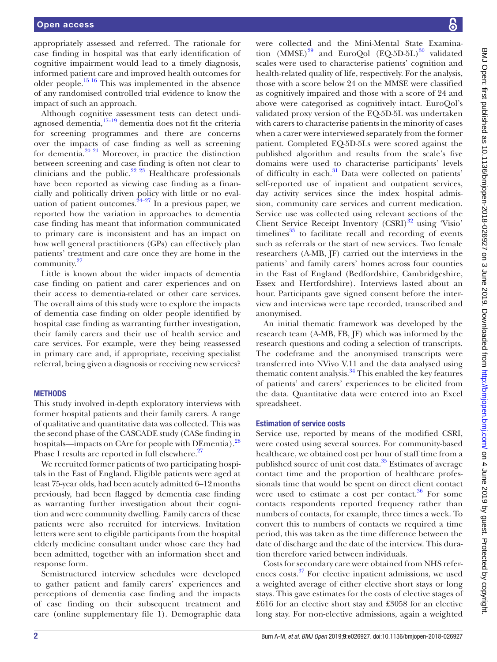appropriately assessed and referred. The rationale for case finding in hospital was that early identification of cognitive impairment would lead to a timely diagnosis, informed patient care and improved health outcomes for older people.[15 16](#page-6-4) This was implemented in the absence of any randomised controlled trial evidence to know the impact of such an approach.

Although cognitive assessment tests can detect undiagnosed dementia[,17–19](#page-6-5) dementia does not fit the criteria for screening programmes and there are concerns over the impacts of case finding as well as screening for dementia. $20\ 21$  Moreover, in practice the distinction between screening and case finding is often not clear to clinicians and the public.<sup>22 23</sup> Healthcare professionals have been reported as viewing case finding as a financially and politically driven policy with little or no evaluation of patient outcomes.  $24-27$  In a previous paper, we reported how the variation in approaches to dementia case finding has meant that information communicated to primary care is inconsistent and has an impact on how well general practitioners (GPs) can effectively plan patients' treatment and care once they are home in the community.[27](#page-6-9)

Little is known about the wider impacts of dementia case finding on patient and carer experiences and on their access to dementia-related or other care services. The overall aims of this study were to explore the impacts of dementia case finding on older people identified by hospital case finding as warranting further investigation, their family carers and their use of health service and care services. For example, were they being reassessed in primary care and, if appropriate, receiving specialist referral, being given a diagnosis or receiving new services?

## **METHODS**

This study involved in-depth exploratory interviews with former hospital patients and their family carers. A range of qualitative and quantitative data was collected. This was the second phase of the CASCADE study (CASe finding in hospitals—impacts on CAre for people with DEmentia).<sup>28</sup> Phase I results are reported in full elsewhere.<sup>27</sup>

We recruited former patients of two participating hospitals in the East of England. Eligible patients were aged at least 75-year olds, had been acutely admitted 6–12months previously, had been flagged by dementia case finding as warranting further investigation about their cognition and were community dwelling. Family carers of these patients were also recruited for interviews. Invitation letters were sent to eligible participants from the hospital elderly medicine consultant under whose care they had been admitted, together with an information sheet and response form.

Semistructured interview schedules were developed to gather patient and family carers' experiences and perceptions of dementia case finding and the impacts of case finding on their subsequent treatment and care (online [supplementary file 1\)](https://dx.doi.org/10.1136/bmjopen-2018-026927). Demographic data

were collected and the Mini-Mental State Examination  $(MMSE)^{29}$  and EuroQol  $(EQ-5D-5L)^{30}$  validated scales were used to characterise patients' cognition and health-related quality of life, respectively. For the analysis, those with a score below 24 on the MMSE were classified as cognitively impaired and those with a score of 24 and above were categorised as cognitively intact. EuroQol's validated proxy version of the EQ-5D-5L was undertaken with carers to characterise patients in the minority of cases when a carer were interviewed separately from the former patient. Completed EQ-5D-5Ls were scored against the published algorithm and results from the scale's five domains were used to characterise participants' levels of difficulty in each.<sup>[31](#page-6-13)</sup> Data were collected on patients' self-reported use of inpatient and outpatient services, day activity services since the index hospital admission, community care services and current medication. Service use was collected using relevant sections of the Client Service Receipt Inventory  $(CSRI)^{32}$  using 'Visio' timelines $33$  to facilitate recall and recording of events such as referrals or the start of new services. Two female researchers (A-MB, JF) carried out the interviews in the patients' and family carers' homes across four counties in the East of England (Bedfordshire, Cambridgeshire, Essex and Hertfordshire). Interviews lasted about an hour. Participants gave signed consent before the interview and interviews were tape recorded, transcribed and anonymised.

An initial thematic framework was developed by the research team (A-MB, FB, JF) which was informed by the research questions and coding a selection of transcripts. The codeframe and the anonymised transcripts were transferred into NVivo V.11 and the data analysed using thematic content analysis. $34$  This enabled the key features of patients' and carers' experiences to be elicited from the data. Quantitative data were entered into an Excel spreadsheet.

## Estimation of service costs

Service use, reported by means of the modified CSRI, were costed using several sources. For community-based healthcare, we obtained cost per hour of staff time from a published source of unit cost data.<sup>35</sup> Estimates of average contact time and the proportion of healthcare professionals time that would be spent on direct client contact were used to estimate a cost per contact. $36$  For some contacts respondents reported frequency rather than numbers of contacts, for example, three times a week. To convert this to numbers of contacts we required a time period, this was taken as the time difference between the date of discharge and the date of the interview. This duration therefore varied between individuals.

Costs for secondary care were obtained from NHS references costs.<sup>37</sup> For elective inpatient admissions, we used a weighted average of either elective short stays or long stays. This gave estimates for the costs of elective stages of £616 for an elective short stay and £3058 for an elective long stay. For non-elective admissions, again a weighted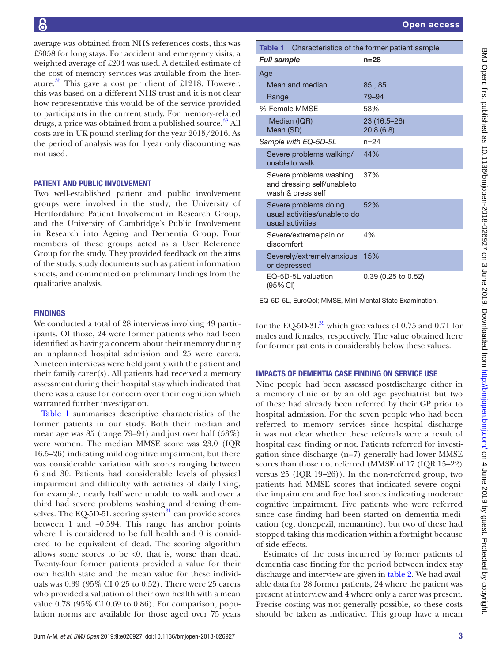average was obtained from NHS references costs, this was £3058 for long stays. For accident and emergency visits, a weighted average of £204 was used. A detailed estimate of the cost of memory services was available from the literature.<sup>35</sup> This gave a cost per client of £1218. However, this was based on a different NHS trust and it is not clear how representative this would be of the service provided to participants in the current study. For memory-related drugs, a price was obtained from a published source.<sup>38</sup> All costs are in UK pound sterling for the year 2015/2016. As the period of analysis was for 1year only discounting was not used.

## Patient and public involvement

Two well-established patient and public involvement groups were involved in the study; the University of Hertfordshire Patient Involvement in Research Group, and the University of Cambridge's Public Involvement in Research into Ageing and Dementia Group. Four members of these groups acted as a User Reference Group for the study. They provided feedback on the aims of the study, study documents such as patient information sheets, and commented on preliminary findings from the qualitative analysis.

# **FINDINGS**

We conducted a total of 28 interviews involving 49 participants. Of those, 24 were former patients who had been identified as having a concern about their memory during an unplanned hospital admission and 25 were carers. Nineteen interviews were held jointly with the patient and their family carer(s). All patients had received a memory assessment during their hospital stay which indicated that there was a cause for concern over their cognition which warranted further investigation.

[Table](#page-2-0) 1 summarises descriptive characteristics of the former patients in our study. Both their median and mean age was 85 (range 79–94) and just over half (53%) were women. The median MMSE score was 23.0 (IQR 16.5–26) indicating mild cognitive impairment, but there was considerable variation with scores ranging between 6 and 30. Patients had considerable levels of physical impairment and difficulty with activities of daily living, for example, nearly half were unable to walk and over a third had severe problems washing and dressing them-selves. The EQ-5D-5L scoring system<sup>[31](#page-6-13)</sup> can provide scores between 1 and −0.594. This range has anchor points where 1 is considered to be full health and 0 is considered to be equivalent of dead. The scoring algorithm allows some scores to be  $\langle 0, \text{ that is, worse than dead.} \rangle$ Twenty-four former patients provided a value for their own health state and the mean value for these individuals was 0.39 (95% CI 0.25 to 0.52). There were 25 carers who provided a valuation of their own health with a mean value 0.78 (95% CI 0.69 to 0.86). For comparison, population norms are available for those aged over 75 years

<span id="page-2-0"></span>Table 1 Characteristics of the former patient sample *Full sample* n=28 Age Mean and median 85, 85 Range 79–94 % Female MMSE 53% Median (IQR) Mean (SD) 23 (16.5–26) 20.8 (6.8) *Sample with EQ-5D-5L* n=24 Severe problems walking/ unableto walk 44% Severe problems washing and dressing self/unableto wash & dress self 37% Severe problems doing usual activities/unableto do usual activities 52% Severe/extremepain or discomfort 4% Severely/extremelyanxious or depressed 15% EQ-5D-5L valuation (95%CI) 0.39 (0.25 to 0.52) EQ-5D-5L, EuroQol; MMSE, Mini-Mental State Examination.

for the EQ-5D-3L $^{39}$  which give values of 0.75 and 0.71 for males and females, respectively. The value obtained here for former patients is considerably below these values.

# Impacts of dementia case finding on service use

Nine people had been assessed postdischarge either in a memory clinic or by an old age psychiatrist but two of these had already been referred by their GP prior to hospital admission. For the seven people who had been referred to memory services since hospital discharge it was not clear whether these referrals were a result of hospital case finding or not. Patients referred for investigation since discharge (n=7) generally had lower MMSE scores than those not referred (MMSE of 17 (IQR 15–22) versus 25 (IQR 19–26)). In the non-referred group, two patients had MMSE scores that indicated severe cognitive impairment and five had scores indicating moderate cognitive impairment. Five patients who were referred since case finding had been started on dementia medication (eg, donepezil, memantine), but two of these had stopped taking this medication within a fortnight because of side effects.

Estimates of the costs incurred by former patients of dementia case finding for the period between index stay discharge and interview are given in [table](#page-3-0) 2. We had available data for 28 former patients, 24 where the patient was present at interview and 4 where only a carer was present. Precise costing was not generally possible, so these costs should be taken as indicative. This group have a mean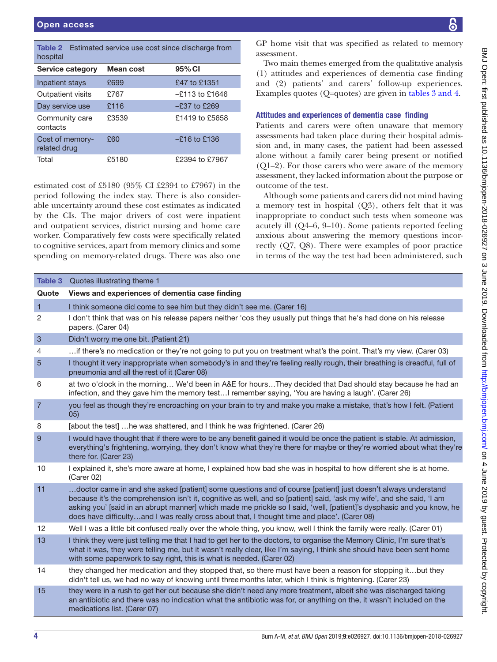<span id="page-3-0"></span>

|          | <b>Table 2</b> Estimated service use cost since discharge from |
|----------|----------------------------------------------------------------|
| hospital |                                                                |
|          |                                                                |

| Service category                | Mean cost | 95% CI                 |
|---------------------------------|-----------|------------------------|
| Inpatient stays                 | £699      | £47 to £1351           |
| <b>Outpatient visits</b>        | £767      | $-$ F113 to $\,$ F1646 |
| Day service use                 | £116      | $-537$ to $5269$       |
| Community care<br>contacts      | £3539     | £1419 to £5658         |
| Cost of memory-<br>related drug | £60       | $-216$ to £136         |
| Total                           | £5180     | £2394 to £7967         |

estimated cost of £5180 (95% CI £2394 to £7967) in the period following the index stay. There is also considerable uncertainty around these cost estimates as indicated by the CIs. The major drivers of cost were inpatient and outpatient services, district nursing and home care worker. Comparatively few costs were specifically related to cognitive services, apart from memory clinics and some spending on memory-related drugs. There was also one

GP home visit that was specified as related to memory assessment.

Two main themes emerged from the qualitative analysis (1) attitudes and experiences of dementia case finding and (2) patients' and carers' follow-up experiences. Examples quotes (Q=quotes) are given in tables [3 and 4.](#page-3-1)

# Attitudes and experiences of dementia case finding

Patients and carers were often unaware that memory assessments had taken place during their hospital admission and, in many cases, the patient had been assessed alone without a family carer being present or notified (Q1–2). For those carers who were aware of the memory assessment, they lacked information about the purpose or outcome of the test.

Although some patients and carers did not mind having a memory test in hospital (Q3), others felt that it was inappropriate to conduct such tests when someone was acutely ill (Q4–6, 9–10). Some patients reported feeling anxious about answering the memory questions incorrectly (Q7, Q8). There were examples of poor practice in terms of the way the test had been administered, such

<span id="page-3-1"></span>

|                | Table 3 Quotes illustrating theme 1                                                                                                                                                                                                                                                                                                                                                                                                                            |
|----------------|----------------------------------------------------------------------------------------------------------------------------------------------------------------------------------------------------------------------------------------------------------------------------------------------------------------------------------------------------------------------------------------------------------------------------------------------------------------|
| Quote          | Views and experiences of dementia case finding                                                                                                                                                                                                                                                                                                                                                                                                                 |
| 1              | I think someone did come to see him but they didn't see me. (Carer 16)                                                                                                                                                                                                                                                                                                                                                                                         |
| 2              | I don't think that was on his release papers neither 'cos they usually put things that he's had done on his release<br>papers. (Carer 04)                                                                                                                                                                                                                                                                                                                      |
| 3              | Didn't worry me one bit. (Patient 21)                                                                                                                                                                                                                                                                                                                                                                                                                          |
| $\overline{4}$ | if there's no medication or they're not going to put you on treatment what's the point. That's my view. (Carer 03)                                                                                                                                                                                                                                                                                                                                             |
| 5              | I thought it very inappropriate when somebody's in and they're feeling really rough, their breathing is dreadful, full of<br>pneumonia and all the rest of it (Carer 08)                                                                                                                                                                                                                                                                                       |
| 6              | at two o'clock in the morning We'd been in A&E for hoursThey decided that Dad should stay because he had an<br>infection, and they gave him the memory testI remember saying, 'You are having a laugh'. (Carer 26)                                                                                                                                                                                                                                             |
| 7              | you feel as though they're encroaching on your brain to try and make you make a mistake, that's how I felt. (Patient<br>05)                                                                                                                                                                                                                                                                                                                                    |
| 8              | [about the test] he was shattered, and I think he was frightened. (Carer 26)                                                                                                                                                                                                                                                                                                                                                                                   |
| 9              | I would have thought that if there were to be any benefit gained it would be once the patient is stable. At admission,<br>everything's frightening, worrying, they don't know what they're there for maybe or they're worried about what they're<br>there for. (Carer 23)                                                                                                                                                                                      |
| 10             | I explained it, she's more aware at home, I explained how bad she was in hospital to how different she is at home.<br>(Carer 02)                                                                                                                                                                                                                                                                                                                               |
| 11             | doctor came in and she asked [patient] some questions and of course [patient] just doesn't always understand<br>because it's the comprehension isn't it, cognitive as well, and so [patient] said, 'ask my wife', and she said, 'I am<br>asking you' [said in an abrupt manner] which made me prickle so I said, 'well, [patient]'s dysphasic and you know, he<br>does have difficultyand I was really cross about that, I thought time and place'. (Carer 08) |
| 12             | Well I was a little bit confused really over the whole thing, you know, well I think the family were really. (Carer 01)                                                                                                                                                                                                                                                                                                                                        |
| 13             | I think they were just telling me that I had to get her to the doctors, to organise the Memory Clinic, I'm sure that's<br>what it was, they were telling me, but it wasn't really clear, like I'm saying, I think she should have been sent home<br>with some paperwork to say right, this is what is needed. (Carer 02)                                                                                                                                       |
| 14             | they changed her medication and they stopped that, so there must have been a reason for stopping itbut they<br>didn't tell us, we had no way of knowing until three months later, which I think is frightening. (Carer 23)                                                                                                                                                                                                                                     |
| 15             | they were in a rush to get her out because she didn't need any more treatment, albeit she was discharged taking<br>an antibiotic and there was no indication what the antibiotic was for, or anything on the, it wasn't included on the<br>medications list. (Carer 07)                                                                                                                                                                                        |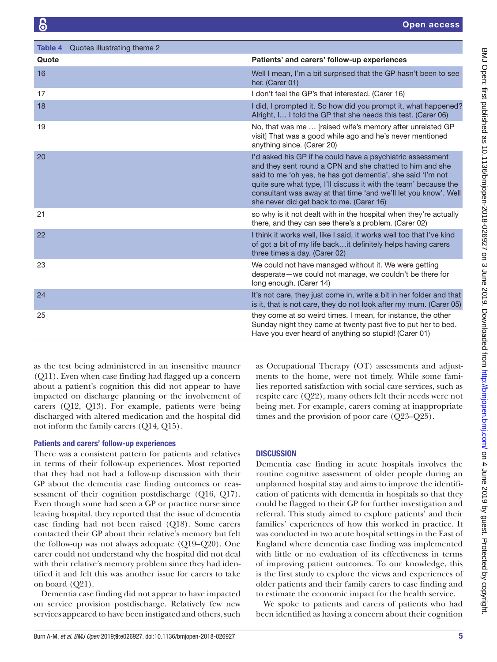| Table 4 | Quotes illustrating theme 2 |                                                                                                                                                                                                                                                                                                                                                                          |
|---------|-----------------------------|--------------------------------------------------------------------------------------------------------------------------------------------------------------------------------------------------------------------------------------------------------------------------------------------------------------------------------------------------------------------------|
| Quote   |                             | Patients' and carers' follow-up experiences                                                                                                                                                                                                                                                                                                                              |
| 16      |                             | Well I mean, I'm a bit surprised that the GP hasn't been to see<br>her. (Carer 01)                                                                                                                                                                                                                                                                                       |
| 17      |                             | I don't feel the GP's that interested. (Carer 16)                                                                                                                                                                                                                                                                                                                        |
| 18      |                             | I did, I prompted it. So how did you prompt it, what happened?<br>Alright, I I told the GP that she needs this test. (Carer 06)                                                                                                                                                                                                                                          |
| 19      |                             | No, that was me  [raised wife's memory after unrelated GP<br>visit] That was a good while ago and he's never mentioned<br>anything since. (Carer 20)                                                                                                                                                                                                                     |
| 20      |                             | I'd asked his GP if he could have a psychiatric assessment<br>and they sent round a CPN and she chatted to him and she<br>said to me 'oh yes, he has got dementia', she said 'I'm not<br>quite sure what type, I'll discuss it with the team' because the<br>consultant was away at that time 'and we'll let you know'. Well<br>she never did get back to me. (Carer 16) |
| 21      |                             | so why is it not dealt with in the hospital when they're actually<br>there, and they can see there's a problem. (Carer 02)                                                                                                                                                                                                                                               |
| 22      |                             | I think it works well, like I said, it works well too that I've kind<br>of got a bit of my life backit definitely helps having carers<br>three times a day. (Carer 02)                                                                                                                                                                                                   |
| 23      |                             | We could not have managed without it. We were getting<br>desperate-we could not manage, we couldn't be there for<br>long enough. (Carer 14)                                                                                                                                                                                                                              |
| 24      |                             | It's not care, they just come in, write a bit in her folder and that<br>is it, that is not care, they do not look after my mum. (Carer 05)                                                                                                                                                                                                                               |
| 25      |                             | they come at so weird times. I mean, for instance, the other<br>Sunday night they came at twenty past five to put her to bed.<br>Have you ever heard of anything so stupid! (Carer 01)                                                                                                                                                                                   |

as the test being administered in an insensitive manner (Q11). Even when case finding had flagged up a concern about a patient's cognition this did not appear to have impacted on discharge planning or the involvement of carers (Q12, Q13). For example, patients were being discharged with altered medication and the hospital did not inform the family carers (Q14, Q15).

# Patients and carers' follow-up experiences

There was a consistent pattern for patients and relatives in terms of their follow-up experiences. Most reported that they had not had a follow-up discussion with their GP about the dementia case finding outcomes or reassessment of their cognition postdischarge (Q16, Q17). Even though some had seen a GP or practice nurse since leaving hospital, they reported that the issue of dementia case finding had not been raised (Q18). Some carers contacted their GP about their relative's memory but felt the follow-up was not always adequate (Q19–Q20). One carer could not understand why the hospital did not deal with their relative's memory problem since they had identified it and felt this was another issue for carers to take on board (Q21).

Dementia case finding did not appear to have impacted on service provision postdischarge. Relatively few new services appeared to have been instigated and others, such

as Occupational Therapy (OT) assessments and adjustments to the home, were not timely. While some families reported satisfaction with social care services, such as respite care (Q22), many others felt their needs were not being met. For example, carers coming at inappropriate times and the provision of poor care (Q23–Q25).

# **DISCUSSION**

Dementia case finding in acute hospitals involves the routine cognitive assessment of older people during an unplanned hospital stay and aims to improve the identification of patients with dementia in hospitals so that they could be flagged to their GP for further investigation and referral. This study aimed to explore patients' and their families' experiences of how this worked in practice. It was conducted in two acute hospital settings in the East of England where dementia case finding was implemented with little or no evaluation of its effectiveness in terms of improving patient outcomes. To our knowledge, this is the first study to explore the views and experiences of older patients and their family carers to case finding and to estimate the economic impact for the health service.

We spoke to patients and carers of patients who had been identified as having a concern about their cognition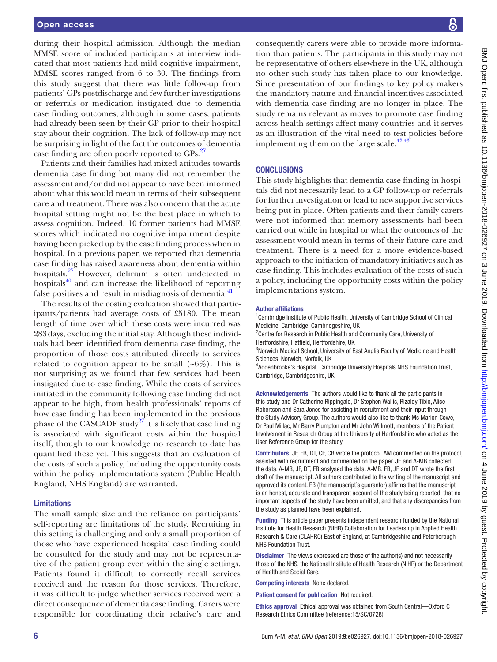during their hospital admission. Although the median MMSE score of included participants at interview indicated that most patients had mild cognitive impairment, MMSE scores ranged from 6 to 30. The findings from this study suggest that there was little follow-up from patients' GPs postdischarge and few further investigations or referrals or medication instigated due to dementia case finding outcomes; although in some cases, patients had already been seen by their GP prior to their hospital stay about their cognition. The lack of follow-up may not be surprising in light of the fact the outcomes of dementia case finding are often poorly reported to GPs.<sup>[27](#page-6-9)</sup>

Patients and their families had mixed attitudes towards dementia case finding but many did not remember the assessment and/or did not appear to have been informed about what this would mean in terms of their subsequent care and treatment. There was also concern that the acute hospital setting might not be the best place in which to assess cognition. Indeed, 10 former patients had MMSE scores which indicated no cognitive impairment despite having been picked up by the case finding process when in hospital. In a previous paper, we reported that dementia case finding has raised awareness about dementia within hospitals.<sup>27</sup> However, delirium is often undetected in hospitals $40$  and can increase the likelihood of reporting false positives and result in misdiagnosis of dementia.<sup>41</sup>

The results of the costing evaluation showed that participants/patients had average costs of £5180. The mean length of time over which these costs were incurred was 283days, excluding the initial stay. Although these individuals had been identified from dementia case finding, the proportion of those costs attributed directly to services related to cognition appear to be small  $(-6\%)$ . This is not surprising as we found that few services had been instigated due to case finding. While the costs of services initiated in the community following case finding did not appear to be high, from health professionals' reports of how case finding has been implemented in the previous phase of the CASCADE study<sup>27</sup> it is likely that case finding is associated with significant costs within the hospital itself, though to our knowledge no research to date has quantified these yet. This suggests that an evaluation of the costs of such a policy, including the opportunity costs within the policy implementations system (Public Health England, NHS England) are warranted.

## Limitations

The small sample size and the reliance on participants' self-reporting are limitations of the study. Recruiting in this setting is challenging and only a small proportion of those who have experienced hospital case finding could be consulted for the study and may not be representative of the patient group even within the single settings. Patients found it difficult to correctly recall services received and the reason for those services. Therefore, it was difficult to judge whether services received were a direct consequence of dementia case finding. Carers were responsible for coordinating their relative's care and

consequently carers were able to provide more information than patients. The participants in this study may not be representative of others elsewhere in the UK, although no other such study has taken place to our knowledge. Since presentation of our findings to key policy makers the mandatory nature and financial incentives associated with dementia case finding are no longer in place. The study remains relevant as moves to promote case finding across health settings affect many countries and it serves as an illustration of the vital need to test policies before implementing them on the large scale. $42\frac{43}{5}$ 

# **CONCLUSIONS**

This study highlights that dementia case finding in hospitals did not necessarily lead to a GP follow-up or referrals for further investigation or lead to new supportive services being put in place. Often patients and their family carers were not informed that memory assessments had been carried out while in hospital or what the outcomes of the assessment would mean in terms of their future care and treatment. There is a need for a more evidence-based approach to the initiation of mandatory initiatives such as case finding. This includes evaluation of the costs of such a policy, including the opportunity costs within the policy implementations system.

#### Author affiliations

<sup>1</sup> Cambridge Institute of Public Health, University of Cambridge School of Clinical Medicine, Cambridge, Cambridgeshire, UK <sup>2</sup> Centre for Research in Public Health and Community Care, University of Hertfordshire, Hatfield, Hertfordshire, UK <sup>3</sup>Norwich Medical School, University of East Anglia Faculty of Medicine and Health Sciences, Norwich, Norfolk, UK 4 Addenbrooke's Hospital, Cambridge University Hospitals NHS Foundation Trust, Cambridge, Cambridgeshire, UK

Acknowledgements The authors would like to thank all the participants in this study and Dr Catherine Rippingale, Dr Stephen Wallis, Rizaldy Tibio, Alice Robertson and Sara Jones for assisting in recruitment and their input through the Study Advisory Group. The authors would also like to thank Ms Marion Cowe, Dr Paul Millac, Mr Barry Plumpton and Mr John Willmott, members of the Patient Involvement in Research Group at the University of Hertfordshire who acted as the User Reference Group for the study.

Contributors JF, FB, DT, CF, CB wrote the protocol. AM commented on the protocol, assisted with recruitment and commented on the paper. JF and A-MB collected the data. A-MB, JF, DT, FB analysed the data. A-MB, FB, JF and DT wrote the first draft of the manuscript. All authors contributed to the writing of the manuscript and approved its content. FB (the manuscript's guarantor) affirms that the manuscript is an honest, accurate and transparent account of the study being reported; that no important aspects of the study have been omitted; and that any discrepancies from the study as planned have been explained.

Funding This article paper presents independent research funded by the National Institute for Health Research (NIHR) Collaboration for Leadership in Applied Health Research & Care (CLAHRC) East of England, at Cambridgeshire and Peterborough NHS Foundation Trust.

Disclaimer The views expressed are those of the author(s) and not necessarily those of the NHS, the National Institute of Health Research (NIHR) or the Department of Health and Social Care.

Competing interests None declared.

Patient consent for publication Not required.

Ethics approval Ethical approval was obtained from South Central—Oxford C Research Ethics Committee (reference:15/SC/0728).